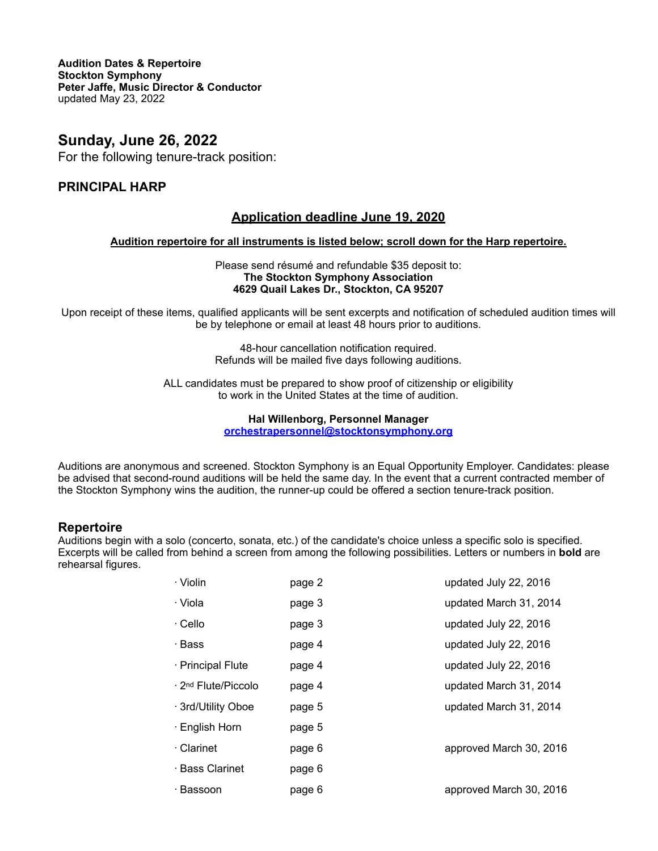**Audition Dates & Repertoire Stockton Symphony Peter Jaffe, Music Director & Conductor** updated May 23, 2022

# **Sunday, June 26, 2022**

For the following tenure-track position:

# **PRINCIPAL HARP**

# **Application deadline June 19, 2020**

## **Audition repertoire for all instruments is listed below; scroll down for the Harp repertoire.**

Please send résumé and refundable \$35 deposit to: **The Stockton Symphony Association 4629 Quail Lakes Dr., Stockton, CA 95207**

Upon receipt of these items, qualified applicants will be sent excerpts and notification of scheduled audition times will be by telephone or email at least 48 hours prior to auditions.

> 48-hour cancellation notification required. Refunds will be mailed five days following auditions.

ALL candidates must be prepared to show proof of citizenship or eligibility to work in the United States at the time of audition.

### **Hal Willenborg, Personnel Manager [orchestrapersonnel@stocktonsymphony.org](mailto:orchestrapersonnel@stocktonsymphony.org)**

Auditions are anonymous and screened. Stockton Symphony is an Equal Opportunity Employer. Candidates: please be advised that second-round auditions will be held the same day. In the event that a current contracted member of the Stockton Symphony wins the audition, the runner-up could be offered a section tenure-track position.

## **Repertoire**

Auditions begin with a solo (concerto, sonata, etc.) of the candidate's choice unless a specific solo is specified. Excerpts will be called from behind a screen from among the following possibilities. Letters or numbers in **bold** are rehearsal figures.

| · Violin                        | page 2 | updated July 22, 2016   |
|---------------------------------|--------|-------------------------|
| · Viola                         | page 3 | updated March 31, 2014  |
| · Cello                         | page 3 | updated July 22, 2016   |
| · Bass                          | page 4 | updated July 22, 2016   |
| · Principal Flute               | page 4 | updated July 22, 2016   |
| ⋅ 2 <sup>nd</sup> Flute/Piccolo | page 4 | updated March 31, 2014  |
| · 3rd/Utility Oboe              | page 5 | updated March 31, 2014  |
| · English Horn                  | page 5 |                         |
| · Clarinet                      | page 6 | approved March 30, 2016 |
| · Bass Clarinet                 | page 6 |                         |
| · Bassoon                       | page 6 | approved March 30, 2016 |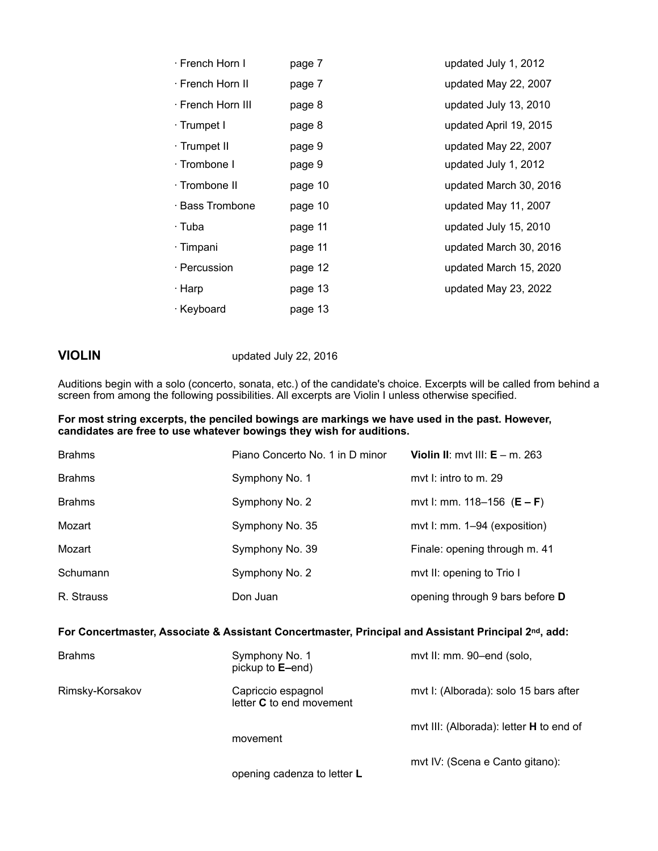| · French Horn I   | page 7  | updated July 1, 2012   |
|-------------------|---------|------------------------|
| ⋅ French Horn II  | page 7  | updated May 22, 2007   |
| · French Horn III | page 8  | updated July 13, 2010  |
| · Trumpet I       | page 8  | updated April 19, 2015 |
| · Trumpet II      | page 9  | updated May 22, 2007   |
| · Trombone I      | page 9  | updated July 1, 2012   |
| · Trombone II     | page 10 | updated March 30, 2016 |
| · Bass Trombone   | page 10 | updated May 11, 2007   |
| · Tuba            | page 11 | updated July 15, 2010  |
| · Timpani         | page 11 | updated March 30, 2016 |
| · Percussion      | page 12 | updated March 15, 2020 |
| · Harp            | page 13 | updated May 23, 2022   |
| · Keyboard        | page 13 |                        |

**VIOLIN** updated July 22, 2016

Auditions begin with a solo (concerto, sonata, etc.) of the candidate's choice. Excerpts will be called from behind a screen from among the following possibilities. All excerpts are Violin I unless otherwise specified.

### **For most string excerpts, the penciled bowings are markings we have used in the past. However, candidates are free to use whatever bowings they wish for auditions.**

| <b>Brahms</b> | Piano Concerto No. 1 in D minor | Violin II: myt III: $E - m$ . 263 |
|---------------|---------------------------------|-----------------------------------|
| <b>Brahms</b> | Symphony No. 1                  | myt I: intro to m. 29             |
| <b>Brahms</b> | Symphony No. 2                  | mvt I: mm. 118–156 $(E - F)$      |
| Mozart        | Symphony No. 35                 | mvt I: mm. 1–94 (exposition)      |
| Mozart        | Symphony No. 39                 | Finale: opening through m. 41     |
| Schumann      | Symphony No. 2                  | mvt II: opening to Trio I         |
| R. Strauss    | Don Juan                        | opening through 9 bars before D   |

### **For Concertmaster, Associate & Assistant Concertmaster, Principal and Assistant Principal 2nd, add:**

| <b>Brahms</b>   | Symphony No. 1<br>pickup to <b>E</b> -end)            | mvt II: mm. 90-end (solo,               |
|-----------------|-------------------------------------------------------|-----------------------------------------|
| Rimsky-Korsakov | Capriccio espagnol<br>letter <b>C</b> to end movement | mvt I: (Alborada): solo 15 bars after   |
|                 | movement                                              | mvt III: (Alborada): letter H to end of |
|                 | opening cadenza to letter L                           | mvt IV: (Scena e Canto gitano):         |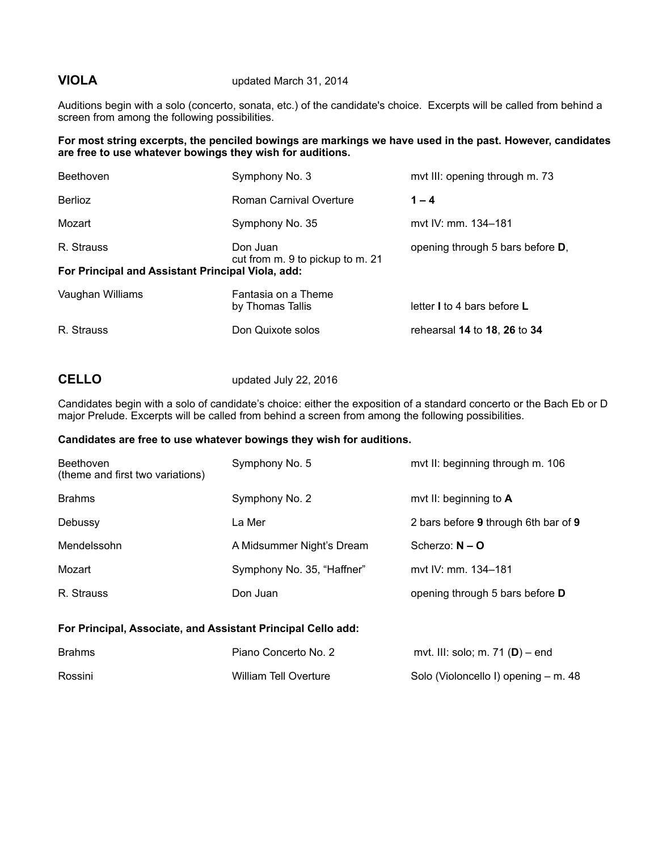### **VIOLA** updated March 31, 2014

Auditions begin with a solo (concerto, sonata, etc.) of the candidate's choice. Excerpts will be called from behind a screen from among the following possibilities.

**For most string excerpts, the penciled bowings are markings we have used in the past. However, candidates are free to use whatever bowings they wish for auditions.**

| Beethoven                                         | Symphony No. 3                               | mvt III: opening through m. 73           |
|---------------------------------------------------|----------------------------------------------|------------------------------------------|
| <b>Berlioz</b>                                    | Roman Carnival Overture                      | $1 - 4$                                  |
| Mozart                                            | Symphony No. 35                              | myt IV: mm. 134–181                      |
| R. Strauss                                        | Don Juan<br>cut from m. 9 to pickup to m. 21 | opening through 5 bars before <b>D</b> , |
| For Principal and Assistant Principal Viola, add: |                                              |                                          |
| Vaughan Williams                                  | Fantasia on a Theme<br>by Thomas Tallis      | letter I to 4 bars before L              |
| R. Strauss                                        | Don Quixote solos                            | rehearsal 14 to 18, 26 to 34             |

# **CELLO** updated July 22, 2016

Candidates begin with a solo of candidate's choice: either the exposition of a standard concerto or the Bach Eb or D major Prelude. Excerpts will be called from behind a screen from among the following possibilities.

### **Candidates are free to use whatever bowings they wish for auditions.**

| <b>Beethoven</b><br>(theme and first two variations) | Symphony No. 5             | mvt II: beginning through m. 106     |
|------------------------------------------------------|----------------------------|--------------------------------------|
| <b>Brahms</b>                                        | Symphony No. 2             | mvt II: beginning to A               |
| Debussy                                              | La Mer                     | 2 bars before 9 through 6th bar of 9 |
| Mendelssohn                                          | A Midsummer Night's Dream  | Scherzo: $N - Q$                     |
| Mozart                                               | Symphony No. 35, "Haffner" | myt IV: mm. 134–181                  |
| R. Strauss                                           | Don Juan                   | opening through 5 bars before D      |

## **For Principal, Associate, and Assistant Principal Cello add:**

| Brahms  | Piano Concerto No. 2  | mvt. III: solo; m. 71 $(D)$ – end    |
|---------|-----------------------|--------------------------------------|
| Rossini | William Tell Overture | Solo (Violoncello I) opening – m. 48 |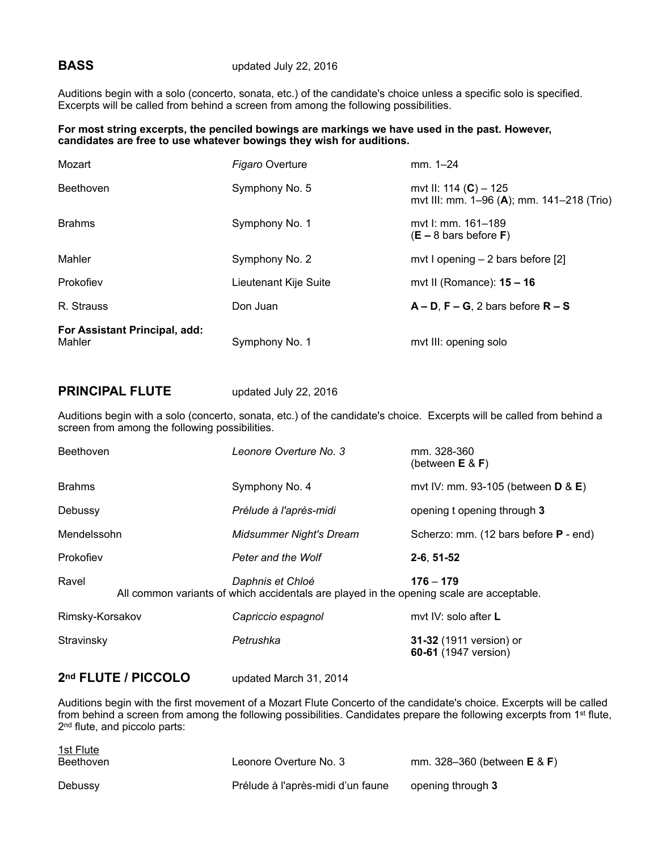Auditions begin with a solo (concerto, sonata, etc.) of the candidate's choice unless a specific solo is specified. Excerpts will be called from behind a screen from among the following possibilities.

### **For most string excerpts, the penciled bowings are markings we have used in the past. However, candidates are free to use whatever bowings they wish for auditions.**

| For Assistant Principal, add:<br>Mahler | Symphony No. 1         | mvt III: opening solo                                                |
|-----------------------------------------|------------------------|----------------------------------------------------------------------|
| R. Strauss                              | Don Juan               | $A - D$ , $F - G$ , 2 bars before $R - S$                            |
| Prokofiev                               | Lieutenant Kije Suite  | mvt II (Romance): $15 - 16$                                          |
| Mahler                                  | Symphony No. 2         | mvt I opening $-2$ bars before [2]                                   |
| <b>Brahms</b>                           | Symphony No. 1         | myt I: mm. 161–189<br>$(E - 8$ bars before F)                        |
| Beethoven                               | Symphony No. 5         | mvt II: 114 $(C)$ – 125<br>mvt III: mm. 1–96 (A); mm. 141–218 (Trio) |
| Mozart                                  | <b>Figaro Overture</b> | $mm. 1 - 24$                                                         |

## **PRINCIPAL FLUTE** updated July 22, 2016

Auditions begin with a solo (concerto, sonata, etc.) of the candidate's choice. Excerpts will be called from behind a screen from among the following possibilities.

| <b>Beethoven</b> | Leonore Overture No. 3                                                                                       | mm. 328-360<br>(between $E \& F$ )                            |
|------------------|--------------------------------------------------------------------------------------------------------------|---------------------------------------------------------------|
| <b>Brahms</b>    | Symphony No. 4                                                                                               | mvt IV: mm. 93-105 (between $\overline{D}$ & $\overline{E}$ ) |
| Debussy          | Prélude à l'après-midi                                                                                       | opening t opening through 3                                   |
| Mendelssohn      | <b>Midsummer Night's Dream</b>                                                                               | Scherzo: mm. (12 bars before <b>P</b> - end)                  |
| Prokofiev        | Peter and the Wolf                                                                                           | $2-6, 51-52$                                                  |
| Ravel            | Daphnis et Chloé<br>All common variants of which accidentals are played in the opening scale are acceptable. | $176 - 179$                                                   |
| Rimsky-Korsakov  | Capriccio espagnol                                                                                           | myt IV: solo after L                                          |
| Stravinsky       | Petrushka                                                                                                    | 31-32 (1911 version) or<br>60-61 (1947 version)               |

## **2nd FLUTE / PICCOLO** updated March 31, 2014

Auditions begin with the first movement of a Mozart Flute Concerto of the candidate's choice. Excerpts will be called from behind a screen from among the following possibilities. Candidates prepare the following excerpts from 1<sup>st</sup> flute, 2<sup>nd</sup> flute, and piccolo parts:

| <u>1st Flute</u><br>Beethoven | Leonore Overture No. 3            | mm. $328 - 360$ (between <b>E</b> & <b>F</b> ) |
|-------------------------------|-----------------------------------|------------------------------------------------|
| Debussy                       | Prélude à l'après-midi d'un faune | opening through 3                              |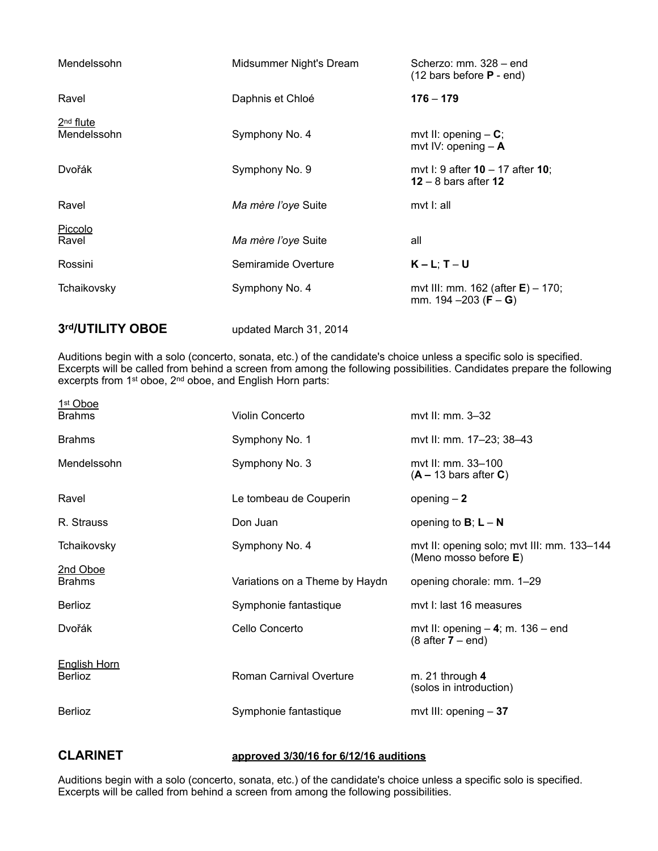| Mendelssohn                | Midsummer Night's Dream | Scherzo: mm. 328 - end<br>$(12 \text{ bars before } P - \text{end})$            |
|----------------------------|-------------------------|---------------------------------------------------------------------------------|
| Ravel                      | Daphnis et Chloé        | $176 - 179$                                                                     |
| $2nd$ flute<br>Mendelssohn | Symphony No. 4          | mvt II: opening $- C$ ;<br>mvt IV: opening $-$ A                                |
| Dvořák                     | Symphony No. 9          | mvt I: 9 after $10 - 17$ after $10$ ;<br>12 – 8 bars after 12                   |
| Ravel                      | Ma mère l'oye Suite     | mvt I: all                                                                      |
| Piccolo<br>Ravel           | Ma mère l'oye Suite     | all                                                                             |
| Rossini                    | Semiramide Overture     | $K - L$ ; T – U                                                                 |
| Tchaikovsky                | Symphony No. 4          | mvt III: mm. 162 (after $E$ ) – 170;<br>mm. $194 - 203$ ( <b>F</b> – <b>G</b> ) |
| 3rd/UTILITY OBOE           | updated March 31, 2014  |                                                                                 |

Auditions begin with a solo (concerto, sonata, etc.) of the candidate's choice unless a specific solo is specified. Excerpts will be called from behind a screen from among the following possibilities. Candidates prepare the following excerpts from 1st oboe, 2nd oboe, and English Horn parts:

| 1st Oboe<br><b>Brahms</b>             | Violin Concerto                | myt II: mm. 3-32                                                             |
|---------------------------------------|--------------------------------|------------------------------------------------------------------------------|
| <b>Brahms</b>                         | Symphony No. 1                 | myt II: mm. 17-23; 38-43                                                     |
| Mendelssohn                           | Symphony No. 3                 | myt II: mm. 33–100<br>$(A - 13 \text{ bars after } C)$                       |
| Ravel                                 | Le tombeau de Couperin         | opening $-2$                                                                 |
| R. Strauss                            | Don Juan                       | opening to $B$ ; $L - N$                                                     |
| Tchaikovsky                           | Symphony No. 4                 | mvt II: opening solo; mvt III: mm. 133-144<br>(Meno mosso before E)          |
| 2nd Oboe<br><b>Brahms</b>             | Variations on a Theme by Haydn | opening chorale: mm. 1-29                                                    |
| Berlioz                               | Symphonie fantastique          | myt I: last 16 measures                                                      |
| Dvořák                                | Cello Concerto                 | mvt II: opening $-$ 4; m. 136 $-$ end<br>$(8 \text{ after } 7 - \text{end})$ |
| <b>English Horn</b><br><b>Berlioz</b> | Roman Carnival Overture        | m. 21 through $4$<br>(solos in introduction)                                 |
| <b>Berlioz</b>                        | Symphonie fantastique          | mvt III: opening $-37$                                                       |

# **CLARINET approved 3/30/16 for 6/12/16 auditions**

Auditions begin with a solo (concerto, sonata, etc.) of the candidate's choice unless a specific solo is specified. Excerpts will be called from behind a screen from among the following possibilities.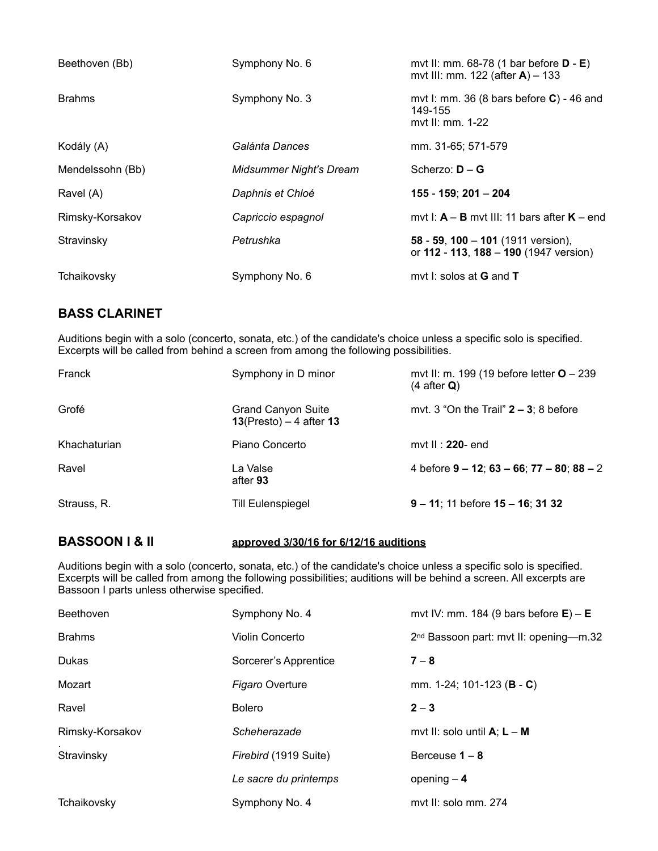| Beethoven (Bb)   | Symphony No. 6                 | mvt II: mm. 68-78 (1 bar before $D - E$ )<br>mvt III: mm. 122 (after $A$ ) – 133  |
|------------------|--------------------------------|-----------------------------------------------------------------------------------|
| <b>Brahms</b>    | Symphony No. 3                 | mvt I: mm. 36 (8 bars before $C$ ) - 46 and<br>149-155<br>myt II: mm. 1-22        |
| Kodály (A)       | Galánta Dances                 | mm. 31-65; 571-579                                                                |
| Mendelssohn (Bb) | <b>Midsummer Night's Dream</b> | Scherzo: $D - G$                                                                  |
| Ravel (A)        | Daphnis et Chloé               | 155 - 159; 201 - 204                                                              |
| Rimsky-Korsakov  | Capriccio espagnol             | mvt I: $A - B$ mvt III: 11 bars after $K - end$                                   |
| Stravinsky       | Petrushka                      | 58 - 59, 100 - 101 (1911 version),<br>or $112 - 113$ , $188 - 190$ (1947 version) |
| Tchaikovsky      | Symphony No. 6                 | mvt I: solos at <b>G</b> and <b>T</b>                                             |

# **BASS CLARINET**

Auditions begin with a solo (concerto, sonata, etc.) of the candidate's choice unless a specific solo is specified. Excerpts will be called from behind a screen from among the following possibilities.

| Franck       | Symphony in D minor                                     | mvt II: m. 199 (19 before letter $O - 239$<br>$(4 \text{ after } Q)$ |
|--------------|---------------------------------------------------------|----------------------------------------------------------------------|
| Grofé        | <b>Grand Canyon Suite</b><br>$13$ (Presto) – 4 after 13 | mvt. 3 "On the Trail" $2 - 3$ ; 8 before                             |
| Khachaturian | Piano Concerto                                          | mvt II : $220$ - end                                                 |
| Ravel        | La Valse<br>after 93                                    | 4 before $9 - 12$ ; $63 - 66$ ; $77 - 80$ ; $88 - 2$                 |
| Strauss, R.  | <b>Till Eulenspiegel</b>                                | $9 - 11$ ; 11 before $15 - 16$ ; 31 32                               |

# **BASSOON I & II approved 3/30/16 for 6/12/16 auditions**

Auditions begin with a solo (concerto, sonata, etc.) of the candidate's choice unless a specific solo is specified. Excerpts will be called from among the following possibilities; auditions will be behind a screen. All excerpts are Bassoon I parts unless otherwise specified.

| Beethoven       | Symphony No. 4         | mvt IV: mm. 184 (9 bars before $E$ ) – E           |
|-----------------|------------------------|----------------------------------------------------|
| <b>Brahms</b>   | Violin Concerto        | 2 <sup>nd</sup> Bassoon part: mvt II: opening-m.32 |
| Dukas           | Sorcerer's Apprentice  | $7 - 8$                                            |
| Mozart          | <b>Figaro Overture</b> | mm. 1-24; 101-123 ( <b>B</b> - <b>C</b> )          |
| Ravel           | <b>Bolero</b>          | $2 - 3$                                            |
| Rimsky-Korsakov | Scheherazade           | mvt II: solo until $A$ ; $L - M$                   |
| Stravinsky      | Firebird (1919 Suite)  | Berceuse $1 - 8$                                   |
|                 | Le sacre du printemps  | opening $-4$                                       |
| Tchaikovsky     | Symphony No. 4         | myt II: solo mm. 274                               |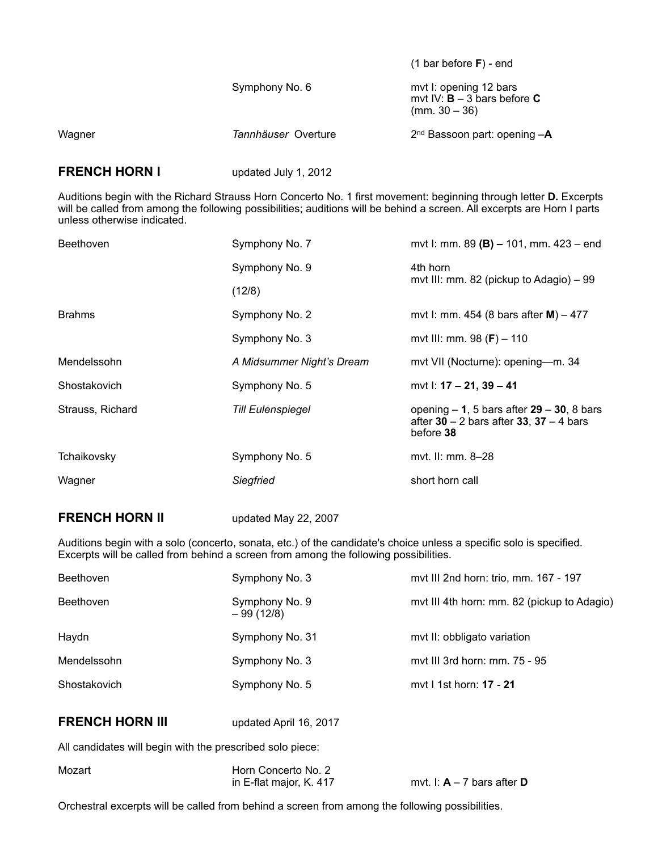|        |                     | $(1 \text{ bar before } F)$ - end                                          |
|--------|---------------------|----------------------------------------------------------------------------|
|        | Symphony No. 6      | mvt I: opening 12 bars<br>mvt IV: $B - 3$ bars before C<br>$(mm. 30 - 36)$ |
| Wagner | Tannhäuser Overture | $2nd$ Bassoon part: opening $-A$                                           |

## **FRENCH HORN I** updated July 1, 2012

Auditions begin with the Richard Strauss Horn Concerto No. 1 first movement: beginning through letter **D.** Excerpts will be called from among the following possibilities; auditions will be behind a screen. All excerpts are Horn I parts unless otherwise indicated.

| <b>Beethoven</b> | Symphony No. 7            | mvt I: mm. 89 (B) $-$ 101, mm. 423 $-$ end                                                               |
|------------------|---------------------------|----------------------------------------------------------------------------------------------------------|
|                  | Symphony No. 9            | 4th horn                                                                                                 |
|                  | (12/8)                    | mvt III: mm. 82 (pickup to Adagio) – 99                                                                  |
| <b>Brahms</b>    | Symphony No. 2            | mvt I: mm. 454 (8 bars after $M$ ) – 477                                                                 |
|                  | Symphony No. 3            | mvt III: mm. 98 $(F)$ – 110                                                                              |
| Mendelssohn      | A Midsummer Night's Dream | mvt VII (Nocturne): opening-m. 34                                                                        |
| Shostakovich     | Symphony No. 5            | mvt I: 17 – 21, 39 – 41                                                                                  |
| Strauss, Richard | <b>Till Eulenspiegel</b>  | opening $-1$ , 5 bars after $29 - 30$ , 8 bars<br>after $30 - 2$ bars after 33, 37 – 4 bars<br>before 38 |
| Tchaikovsky      | Symphony No. 5            | myt. II: mm. 8–28                                                                                        |
| Wagner           | Siegfried                 | short horn call                                                                                          |
|                  |                           |                                                                                                          |

## **FRENCH HORN II** updated May 22, 2007

Auditions begin with a solo (concerto, sonata, etc.) of the candidate's choice unless a specific solo is specified. Excerpts will be called from behind a screen from among the following possibilities.

| Beethoven              | Symphony No. 3                | mvt III 2nd horn: trio, mm. 167 - 197       |
|------------------------|-------------------------------|---------------------------------------------|
| Beethoven              | Symphony No. 9<br>$-99(12/8)$ | mvt III 4th horn: mm. 82 (pickup to Adagio) |
| Haydn                  | Symphony No. 31               | mvt II: obbligato variation                 |
| Mendelssohn            | Symphony No. 3                | myt III 3rd horn: mm. 75 - 95               |
| Shostakovich           | Symphony No. 5                | myt I 1st horn: 17 - 21                     |
| <b>FRENCH HORN III</b> | updated April 16, 2017        |                                             |
|                        |                               |                                             |

All candidates will begin with the prescribed solo piece:

| Mozart | Horn Concerto No. 2     |                              |
|--------|-------------------------|------------------------------|
|        | in E-flat major, K. 417 | mvt. I: $A - 7$ bars after D |

Orchestral excerpts will be called from behind a screen from among the following possibilities.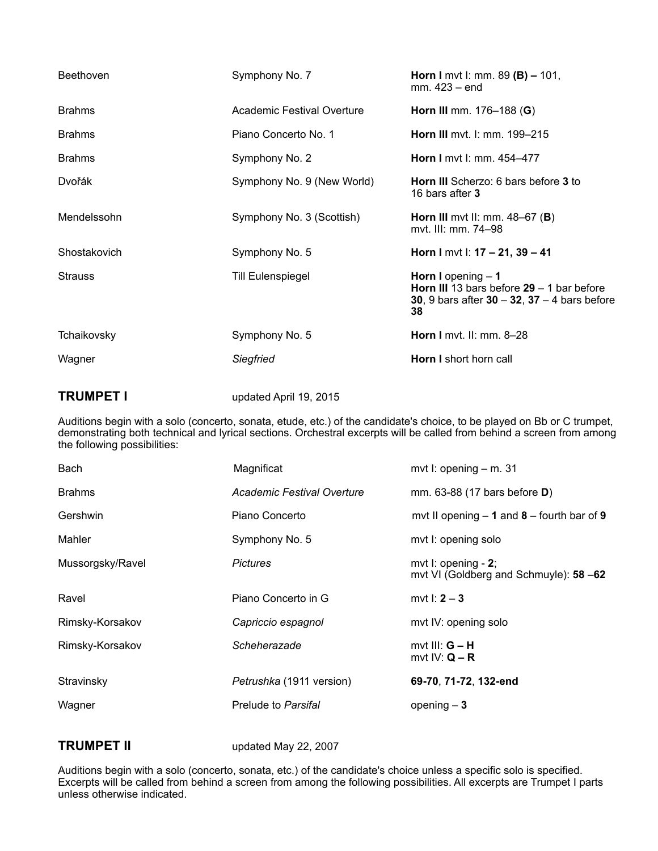| <b>Beethoven</b> | Symphony No. 7             | <b>Horn I</b> mvt I: mm. 89 ( <b>B</b> ) $- 101$ ,<br>mm. 423 – end                                                                  |
|------------------|----------------------------|--------------------------------------------------------------------------------------------------------------------------------------|
| <b>Brahms</b>    | Academic Festival Overture | <b>Horn III</b> mm. 176-188 ( <b>G</b> )                                                                                             |
| <b>Brahms</b>    | Piano Concerto No. 1       | Horn III mvt. I: mm. 199-215                                                                                                         |
| <b>Brahms</b>    | Symphony No. 2             | Horn I mvt I: mm. 454-477                                                                                                            |
| Dvořák           | Symphony No. 9 (New World) | Horn III Scherzo: 6 bars before 3 to<br>16 bars after 3                                                                              |
| Mendelssohn      | Symphony No. 3 (Scottish)  | Horn III mvt II: mm. $48-67$ (B)<br>myt. III: mm. 74–98                                                                              |
| Shostakovich     | Symphony No. 5             | Horn I mvt I: $17 - 21$ , $39 - 41$                                                                                                  |
| <b>Strauss</b>   | <b>Till Eulenspiegel</b>   | Horn I opening $-1$<br><b>Horn III</b> 13 bars before $29 - 1$ bar before<br>30, 9 bars after $30 - 32$ , $37 - 4$ bars before<br>38 |
| Tchaikovsky      | Symphony No. 5             | <b>Horn I</b> myt. II: mm. $8-28$                                                                                                    |
| Wagner           | Siegfried                  | Horn I short horn call                                                                                                               |

# **TRUMPET I** updated April 19, 2015

Auditions begin with a solo (concerto, sonata, etude, etc.) of the candidate's choice, to be played on Bb or C trumpet, demonstrating both technical and lyrical sections. Orchestral excerpts will be called from behind a screen from among the following possibilities:

| Bach             | Magnificat                 | mvt I: opening $-$ m. 31                                                  |
|------------------|----------------------------|---------------------------------------------------------------------------|
| <b>Brahms</b>    | Academic Festival Overture | mm. 63-88 (17 bars before <b>D</b> )                                      |
| Gershwin         | Piano Concerto             | mvt II opening $-1$ and $8$ – fourth bar of 9                             |
| Mahler           | Symphony No. 5             | myt I: opening solo                                                       |
| Mussorgsky/Ravel | <b>Pictures</b>            | mvt $\mathsf{l}$ : opening - 2;<br>mvt VI (Goldberg and Schmuyle): 58 -62 |
| Ravel            | Piano Concerto in G        | mvt $\ln 2 - 3$                                                           |
| Rimsky-Korsakov  | Capriccio espagnol         | myt IV: opening solo                                                      |
| Rimsky-Korsakov  | Scheherazade               | mvt III: $G - H$<br>mvt IV: $Q - R$                                       |
| Stravinsky       | Petrushka (1911 version)   | 69-70, 71-72, 132-end                                                     |
| Wagner           | Prelude to Parsifal        | opening $-3$                                                              |

**TRUMPET II** updated May 22, 2007

Auditions begin with a solo (concerto, sonata, etc.) of the candidate's choice unless a specific solo is specified. Excerpts will be called from behind a screen from among the following possibilities. All excerpts are Trumpet I parts unless otherwise indicated.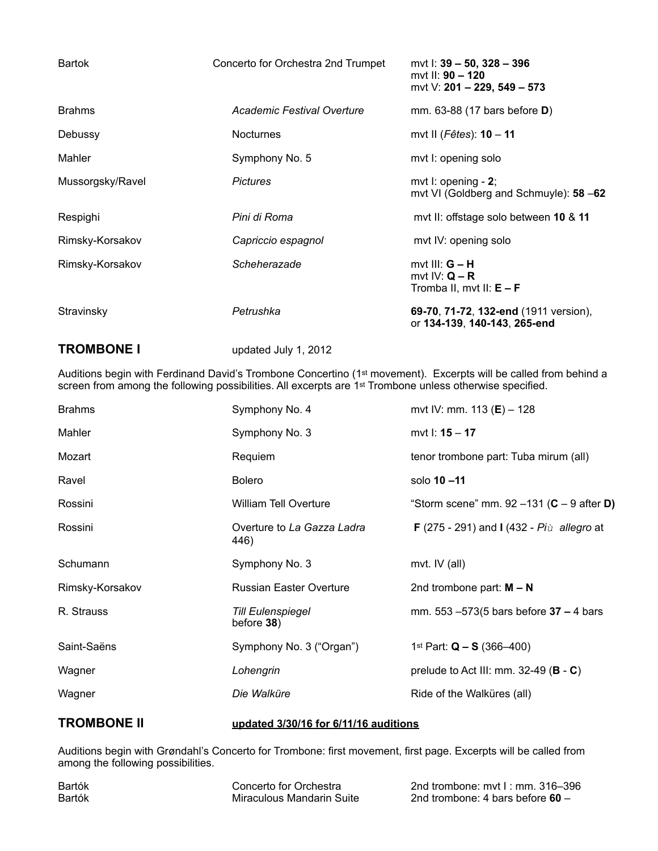| <b>Bartok</b>     | Concerto for Orchestra 2nd Trumpet | myt I: 39 – 50, 328 – 396<br>myt II: $90 - 120$<br>mvt V: 201 - 229, 549 - 573 |
|-------------------|------------------------------------|--------------------------------------------------------------------------------|
| <b>Brahms</b>     | Academic Festival Overture         | mm. 63-88 (17 bars before <b>D</b> )                                           |
| Debussy           | <b>Nocturnes</b>                   | mvt II ( $F\hat{e}$ tes): 10 - 11                                              |
| Mahler            | Symphony No. 5                     | mvt I: opening solo                                                            |
| Mussorgsky/Ravel  | <b>Pictures</b>                    | mvt I: opening $-2$ ;<br>mvt VI (Goldberg and Schmuyle): 58 -62                |
| Respighi          | Pini di Roma                       | myt II: offstage solo between 10 & 11                                          |
| Rimsky-Korsakov   | Capriccio espagnol                 | mvt IV: opening solo                                                           |
| Rimsky-Korsakov   | Scheherazade                       | mvt III: $G - H$<br>mvt IV: $Q - R$<br>Tromba II, mvt II: $E - F$              |
| Stravinsky        | Petrushka                          | 69-70, 71-72, 132-end (1911 version),<br>or 134-139, 140-143, 265-end          |
| <b>TROMBONE I</b> | updated July 1, 2012               |                                                                                |

Auditions begin with Ferdinand David's Trombone Concertino (1st movement). Excerpts will be called from behind a screen from among the following possibilities. All excerpts are 1<sup>st</sup> Trombone unless otherwise specified.

| <b>Brahms</b>   | Symphony No. 4                            | mvt IV: mm. 113 ( $E$ ) – 128                                   |
|-----------------|-------------------------------------------|-----------------------------------------------------------------|
| Mahler          | Symphony No. 3                            | mvt I: 15 - 17                                                  |
| Mozart          | Requiem                                   | tenor trombone part: Tuba mirum (all)                           |
| Ravel           | <b>Bolero</b>                             | solo 10-11                                                      |
| Rossini         | <b>William Tell Overture</b>              | "Storm scene" mm. $92 - 131$ (C - 9 after D)                    |
| Rossini         | Overture to La Gazza Ladra<br>446)        | <b>F</b> (275 - 291) and <b>I</b> (432 - $Pi\hat{u}$ allegro at |
| Schumann        | Symphony No. 3                            | mvt. IV (all)                                                   |
| Rimsky-Korsakov | <b>Russian Easter Overture</b>            | 2nd trombone part: $M - N$                                      |
| R. Strauss      | <b>Till Eulenspiegel</b><br>before $38$ ) | mm. 553 $-573(5$ bars before $37 - 4$ bars                      |
| Saint-Saëns     | Symphony No. 3 ("Organ")                  | 1 <sup>st</sup> Part: $Q - S$ (366–400)                         |
| Wagner          | Lohengrin                                 | prelude to Act III: mm. $32-49$ ( <b>B</b> - <b>C</b> )         |
| Wagner          | Die Walküre                               | Ride of the Walküres (all)                                      |
|                 |                                           |                                                                 |

# **TROMBONE II updated 3/30/16 for 6/11/16 auditions**

Auditions begin with Grøndahl's Concerto for Trombone: first movement, first page. Excerpts will be called from among the following possibilities.

Bartók Concerto for Orchestra 2nd trombone: mvt I : mm. 316–396 2nd trombone: 4 bars before 60 –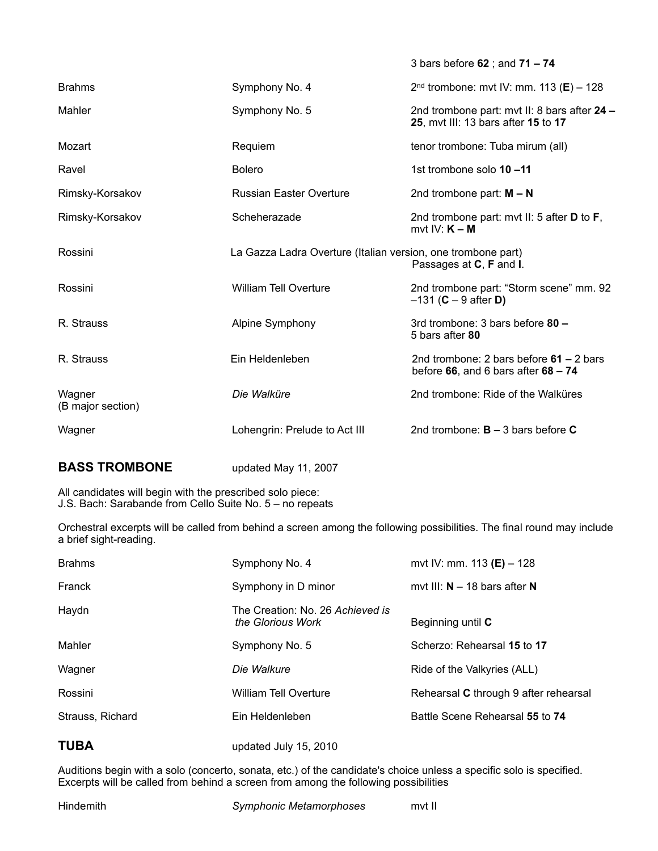|                             |                                                              | 3 bars before 62; and 71 - 74                                                       |
|-----------------------------|--------------------------------------------------------------|-------------------------------------------------------------------------------------|
| <b>Brahms</b>               | Symphony No. 4                                               | $2nd$ trombone: mvt IV: mm. 113 (E) - 128                                           |
| Mahler                      | Symphony No. 5                                               | 2nd trombone part: mvt II: 8 bars after 24 -<br>25, mvt III: 13 bars after 15 to 17 |
| Mozart                      | Requiem                                                      | tenor trombone: Tuba mirum (all)                                                    |
| Ravel                       | <b>Bolero</b>                                                | 1st trombone solo 10-11                                                             |
| Rimsky-Korsakov             | <b>Russian Easter Overture</b>                               | 2nd trombone part: $M - N$                                                          |
| Rimsky-Korsakov             | Scheherazade                                                 | 2nd trombone part: mvt II: 5 after $D$ to $F$ ,<br>mvt IV: $K - M$                  |
| Rossini                     | La Gazza Ladra Overture (Italian version, one trombone part) | Passages at C, F and I.                                                             |
| Rossini                     | <b>William Tell Overture</b>                                 | 2nd trombone part: "Storm scene" mm. 92<br>$-131$ ( <b>C</b> $-9$ after <b>D</b> )  |
| R. Strauss                  | Alpine Symphony                                              | 3rd trombone: 3 bars before 80 -<br>5 bars after 80                                 |
| R. Strauss                  | Ein Heldenleben                                              | 2nd trombone: 2 bars before $61 - 2$ bars<br>before 66, and 6 bars after $68 - 74$  |
| Wagner<br>(B major section) | Die Walküre                                                  | 2nd trombone: Ride of the Walküres                                                  |
| Wagner                      | Lohengrin: Prelude to Act III                                | 2nd trombone: $B - 3$ bars before C                                                 |
|                             |                                                              |                                                                                     |

# **BASS TROMBONE** updated May 11, 2007

All candidates will begin with the prescribed solo piece: J.S. Bach: Sarabande from Cello Suite No. 5 – no repeats

Orchestral excerpts will be called from behind a screen among the following possibilities. The final round may include a brief sight-reading.

| <b>Brahms</b>    | Symphony No. 4                                        | mvt IV: mm. 113 (E) $-$ 128           |
|------------------|-------------------------------------------------------|---------------------------------------|
| Franck           | Symphony in D minor                                   | mvt III: $N - 18$ bars after N        |
| Haydn            | The Creation: No. 26 Achieved is<br>the Glorious Work | Beginning until C                     |
| Mahler           | Symphony No. 5                                        | Scherzo: Rehearsal 15 to 17           |
| Wagner           | Die Walkure                                           | Ride of the Valkyries (ALL)           |
| Rossini          | William Tell Overture                                 | Rehearsal C through 9 after rehearsal |
| Strauss, Richard | Ein Heldenleben                                       | Battle Scene Rehearsal 55 to 74       |
| <b>TUBA</b>      | updated July 15, 2010                                 |                                       |

Auditions begin with a solo (concerto, sonata, etc.) of the candidate's choice unless a specific solo is specified. Excerpts will be called from behind a screen from among the following possibilities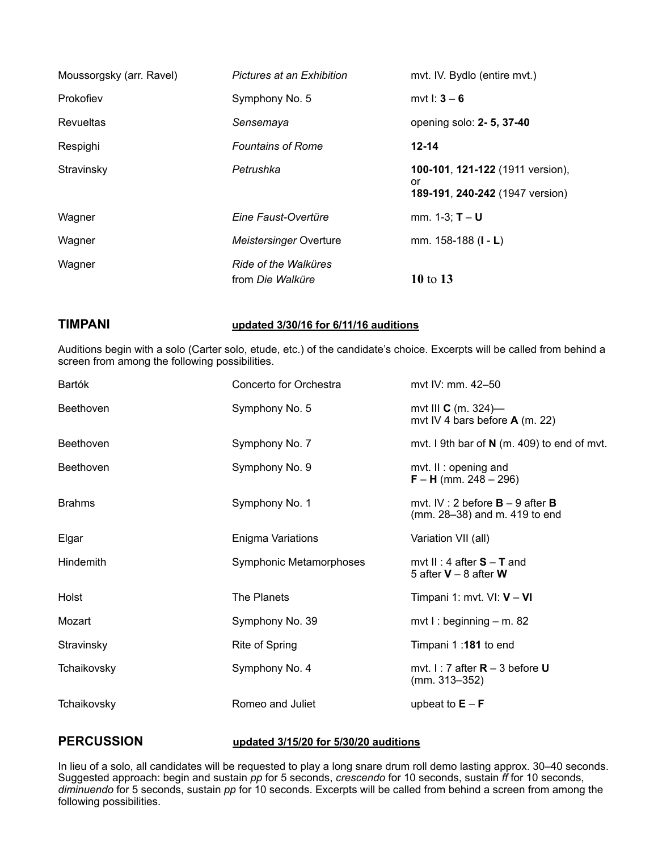| Moussorgsky (arr. Ravel) | Pictures at an Exhibition                | mvt. IV. Bydlo (entire mvt.)                                              |
|--------------------------|------------------------------------------|---------------------------------------------------------------------------|
| Prokofiev                | Symphony No. 5                           | mvt $1: 3 - 6$                                                            |
| <b>Revueltas</b>         | Sensemaya                                | opening solo: 2-5, 37-40                                                  |
| Respighi                 | <b>Fountains of Rome</b>                 | $12 - 14$                                                                 |
| Stravinsky               | Petrushka                                | 100-101, 121-122 (1911 version),<br>or<br>189-191, 240-242 (1947 version) |
| Wagner                   | Eine Faust-Overtüre                      | mm. $1-3$ ; $T-U$                                                         |
| Wagner                   | Meistersinger Overture                   | mm. 158-188 (I - L)                                                       |
| Wagner                   | Ride of the Walküres<br>from Die Walküre | 10 to 13                                                                  |

**TIMPANI updated 3/30/16 for 6/11/16 auditions**

Auditions begin with a solo (Carter solo, etude, etc.) of the candidate's choice. Excerpts will be called from behind a screen from among the following possibilities.

| Bartók        | Concerto for Orchestra  | myt IV: mm. 42-50                                                          |
|---------------|-------------------------|----------------------------------------------------------------------------|
| Beethoven     | Symphony No. 5          | mvt III $C$ (m. 324)-<br>mvt IV 4 bars before $A$ (m. 22)                  |
| Beethoven     | Symphony No. 7          | mvt. I 9th bar of $N$ (m. 409) to end of mvt.                              |
| Beethoven     | Symphony No. 9          | mvt. II: opening and<br>$F - H$ (mm. 248 – 296)                            |
| <b>Brahms</b> | Symphony No. 1          | mvt. IV : 2 before $B - 9$ after <b>B</b><br>(mm. 28–38) and m. 419 to end |
| Elgar         | Enigma Variations       | Variation VII (all)                                                        |
| Hindemith     | Symphonic Metamorphoses | mvt II : 4 after $S - T$ and<br>5 after $V - 8$ after W                    |
| Holst         | The Planets             | Timpani 1: mvt. VI: $V - VI$                                               |
| Mozart        | Symphony No. 39         | mvt I : beginning $-$ m. 82                                                |
| Stravinsky    | Rite of Spring          | Timpani 1:181 to end                                                       |
| Tchaikovsky   | Symphony No. 4          | mvt. $1:7$ after $R - 3$ before U<br>$(mm. 313 - 352)$                     |
| Tchaikovsky   | Romeo and Juliet        | upbeat to $E - F$                                                          |
|               |                         |                                                                            |

### **PERCUSSION updated 3/15/20 for 5/30/20 auditions**

In lieu of a solo, all candidates will be requested to play a long snare drum roll demo lasting approx. 30–40 seconds. Suggested approach: begin and sustain *pp* for 5 seconds, *crescendo* for 10 seconds, sustain *ff* for 10 seconds, *diminuendo* for 5 seconds, sustain *pp* for 10 seconds. Excerpts will be called from behind a screen from among the following possibilities.